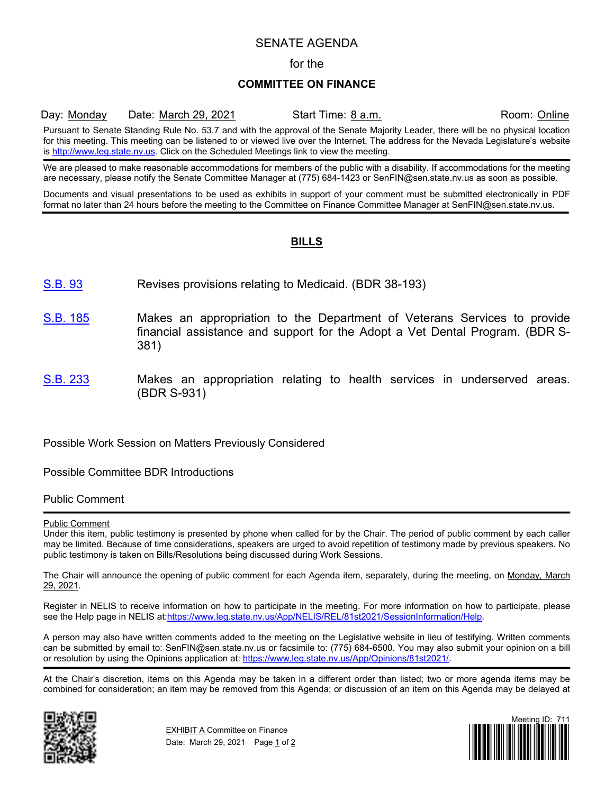# SENATE AGENDA

### for the

## **COMMITTEE ON FINANCE**

Day: Monday Date: March 29, 2021 Start Time: 8 a.m. Room: Online

Pursuant to Senate Standing Rule No. 53.7 and with the approval of the Senate Majority Leader, there will be no physical location for this meeting. This meeting can be listened to or viewed live over the Internet. The address for the Nevada Legislature's website is [http://www.leg.state.nv.us.](http://www.leg.state.nv.us/) Click on the Scheduled Meetings link to view the meeting.

We are pleased to make reasonable accommodations for members of the public with a disability. If accommodations for the meeting are necessary, please notify the Senate Committee Manager at (775) 684-1423 or SenFIN@sen.state.nv.us as soon as possible.

Documents and visual presentations to be used as exhibits in support of your comment must be submitted electronically in PDF format no later than 24 hours before the meeting to the Committee on Finance Committee Manager at SenFIN@sen.state.nv.us.

## **BILLS**

- [S.B.](https://www.leg.state.nv.us/App/NELIS/REL/81st2021/Bill/7381/Overview/) 93 Revises provisions relating to Medicaid. (BDR 38-193)
- [S.B.](https://www.leg.state.nv.us/App/NELIS/REL/81st2021/Bill/7614/Overview/) 185 Makes an appropriation to the Department of Veterans Services to provide financial assistance and support for the Adopt a Vet Dental Program. (BDR S-381)
- [S.B.](https://www.leg.state.nv.us/App/NELIS/REL/81st2021/Bill/7741/Overview/) 233 Makes an appropriation relating to health services in underserved areas. (BDR S-931)

Possible Work Session on Matters Previously Considered

Possible Committee BDR Introductions

Public Comment

#### Public Comment

Under this item, public testimony is presented by phone when called for by the Chair. The period of public comment by each caller may be limited. Because of time considerations, speakers are urged to avoid repetition of testimony made by previous speakers. No public testimony is taken on Bills/Resolutions being discussed during Work Sessions.

The Chair will announce the opening of public comment for each Agenda item, separately, during the meeting, on Monday, March 29, 2021.

Register in NELIS to receive information on how to participate in the meeting. For more information on how to participate, please see the Help page in NELIS at:https://www.leg.state.nv.us/App/NELIS/REL/81st2021/SessionInformation/Help.

A person may also have written comments added to the meeting on the Legislative website in lieu of testifying. Written comments can be submitted by email to: SenFIN@sen.state.nv.us or facsimile to: (775) 684-6500. You may also submit your opinion on a bill or resolution by using the Opinions application at: https://www.leg.state.nv.us/App/Opinions/81st2021/.

At the Chair's discretion, items on this Agenda may be taken in a different order than listed; two or more agenda items may be combined for consideration; an item may be removed from this Agenda; or discussion of an item on this Agenda may be delayed at